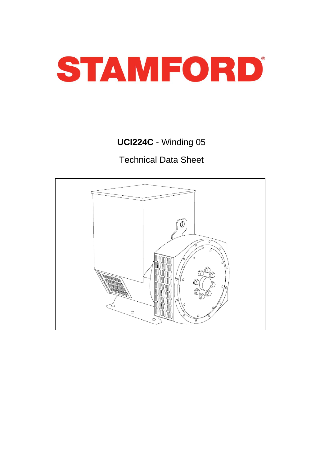

# **UCI224C** - Winding 05

Technical Data Sheet

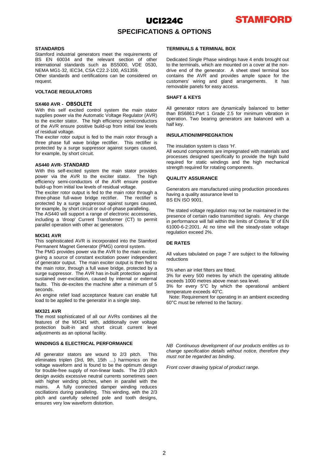

### **SPECIFICATIONS & OPTIONS**

### **STANDARDS**

Stamford industrial generators meet the requirements of BS EN 60034 and the relevant section of other international standards such as BS5000, VDE 0530, NEMA MG1-32, IEC34, CSA C22.2-100, AS1359.

Other standards and certifications can be considered on request.

### **VOLTAGE REGULATORS**

#### **SX460 AVR - OBSOLETE**

With this self excited control system the main stator supplies power via the Automatic Voltage Regulator (AVR) to the exciter stator. The high efficiency semiconductors of the AVR ensure positive build-up from initial low levels of residual voltage.

The exciter rotor output is fed to the main rotor through a three phase full wave bridge rectifier. This rectifier is protected by a surge suppressor against surges caused, for example, by short circuit.

#### **AS440 AVR- STANDARD**

With this self-excited system the main stator provides power via the AVR to the exciter stator. The high efficiency semi-conductors of the AVR ensure positive build-up from initial low levels of residual voltage.

The exciter rotor output is fed to the main rotor through a three-phase full-wave bridge rectifier. The rectifier is protected by a surge suppressor against surges caused, for example, by short circuit or out-of-phase paralleling.

The AS440 will support a range of electronic accessories, including a 'droop' Current Transformer (CT) to permit parallel operation with other ac generators.

#### **MX341 AVR**

This sophisticated AVR is incorporated into the Stamford Permanent Magnet Generator (PMG) control system.

The PMG provides power via the AVR to the main exciter, giving a source of constant excitation power independent of generator output. The main exciter output is then fed to the main rotor, through a full wave bridge, protected by a surge suppressor. The AVR has in-built protection against sustained over-excitation, caused by internal or external faults. This de-excites the machine after a minimum of 5 seconds.

An engine relief load acceptance feature can enable full load to be applied to the generator in a single step.

#### **MX321 AVR**

The most sophisticated of all our AVRs combines all the features of the MX341 with, additionally over voltage protection built-in and short circuit current level adjustments as an optional facility.

### **WINDINGS & ELECTRICAL PERFORMANCE**

All generator stators are wound to 2/3 pitch. This eliminates triplen (3rd, 9th, 15th …) harmonics on the voltage waveform and is found to be the optimum design for trouble-free supply of non-linear loads. The 2/3 pitch design avoids excessive neutral currents sometimes seen with higher winding pitches, when in parallel with the mains. A fully connected damper winding reduces A fully connected damper winding reduces oscillations during paralleling. This winding, with the 2/3 pitch and carefully selected pole and tooth designs, ensures very low waveform distortion.

### **TERMINALS & TERMINAL BOX**

Dedicated Single Phase windings have 4 ends brought out to the terminals, which are mounted on a cover at the nondrive end of the generator. A sheet steel terminal box contains the AVR and provides ample space for the customers' wiring and gland arrangements. It has customers' wiring and gland arrangements. removable panels for easy access.

### **SHAFT & KEYS**

All generator rotors are dynamically balanced to better than BS6861:Part 1 Grade 2.5 for minimum vibration in operation. Two bearing generators are balanced with a half key.

### **INSULATION/IMPREGNATION**

The insulation system is class 'H'.

All wound components are impregnated with materials and processes designed specifically to provide the high build required for static windings and the high mechanical strength required for rotating components.

### **QUALITY ASSURANCE**

Generators are manufactured using production procedures having a quality assurance level to BS EN ISO 9001.

The stated voltage regulation may not be maintained in the presence of certain radio transmitted signals. Any change in performance will fall within the limits of Criteria 'B' of EN 61000-6-2:2001. At no time will the steady-state voltage regulation exceed 2%.

### **DE RATES**

All values tabulated on page 7 are subject to the following reductions

5% when air inlet filters are fitted.

3% for every 500 metres by which the operating altitude exceeds 1000 metres above mean sea level.

3% for every 5°C by which the operational ambient temperature exceeds 40°C.

Note: Requirement for operating in an ambient exceeding 60°C must be referred to the factory.

*NB Continuous development of our products entitles us to change specification details without notice, therefore they must not be regarded as binding.*

*Front cover drawing typical of product range.*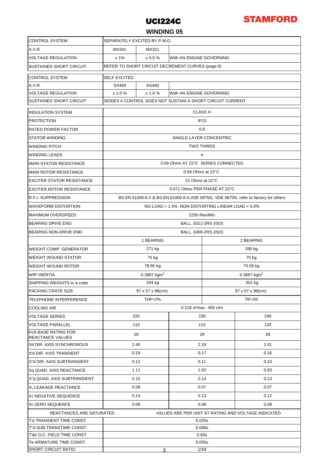

# **WINDING 05**

| <b>CONTROL SYSTEM</b>                                 | SEPARATELY EXCITED BY P.M.G.                                                         |                           |      |                           |                  |  |  |  |  |
|-------------------------------------------------------|--------------------------------------------------------------------------------------|---------------------------|------|---------------------------|------------------|--|--|--|--|
| A.V.R.                                                | MX341<br>MX321                                                                       |                           |      |                           |                  |  |  |  |  |
| <b>VOLTAGE REGULATION</b>                             | ± 1%<br>$\pm 0.5 \%$<br>With 4% ENGINE GOVERNING                                     |                           |      |                           |                  |  |  |  |  |
| <b>SUSTAINED SHORT CIRCUIT</b>                        | REFER TO SHORT CIRCUIT DECREMENT CURVES (page 6)                                     |                           |      |                           |                  |  |  |  |  |
| <b>CONTROL SYSTEM</b>                                 | <b>SELF EXCITED</b>                                                                  |                           |      |                           |                  |  |  |  |  |
| A.V.R.                                                | SX460                                                                                | AS440                     |      |                           |                  |  |  |  |  |
| <b>VOLTAGE REGULATION</b>                             | ± 1.0%<br>± 1.0 %<br>With 4% ENGINE GOVERNING                                        |                           |      |                           |                  |  |  |  |  |
| <b>SUSTAINED SHORT CIRCUIT</b>                        | SERIES 4 CONTROL DOES NOT SUSTAIN A SHORT CIRCUIT CURRENT                            |                           |      |                           |                  |  |  |  |  |
| <b>INSULATION SYSTEM</b>                              | <b>CLASS H</b>                                                                       |                           |      |                           |                  |  |  |  |  |
| <b>PROTECTION</b>                                     | IP <sub>23</sub>                                                                     |                           |      |                           |                  |  |  |  |  |
| RATED POWER FACTOR                                    | 0.8                                                                                  |                           |      |                           |                  |  |  |  |  |
| <b>STATOR WINDING</b>                                 | SINGLE LAYER CONCENTRIC                                                              |                           |      |                           |                  |  |  |  |  |
| WINDING PITCH                                         | <b>TWO THIRDS</b>                                                                    |                           |      |                           |                  |  |  |  |  |
| <b>WINDING LEADS</b>                                  | 4                                                                                    |                           |      |                           |                  |  |  |  |  |
| <b>MAIN STATOR RESISTANCE</b>                         | 0.09 Ohms AT 22°C SERIES CONNECTED                                                   |                           |      |                           |                  |  |  |  |  |
| <b>MAIN ROTOR RESISTANCE</b>                          | 0.59 Ohms at 22°C                                                                    |                           |      |                           |                  |  |  |  |  |
| <b>EXCITER STATOR RESISTANCE</b>                      | 21 Ohms at 22°C                                                                      |                           |      |                           |                  |  |  |  |  |
| <b>EXCITER ROTOR RESISTANCE</b>                       | 0.071 Ohms PER PHASE AT 22°C                                                         |                           |      |                           |                  |  |  |  |  |
| <b>R.F.I. SUPPRESSION</b>                             | BS EN 61000-6-2 & BS EN 61000-6-4, VDE 0875G, VDE 0875N. refer to factory for others |                           |      |                           |                  |  |  |  |  |
| WAVEFORM DISTORTION                                   | NO LOAD < 1.5% NON-DISTORTING LINEAR LOAD < 5.0%                                     |                           |      |                           |                  |  |  |  |  |
| <b>MAXIMUM OVERSPEED</b>                              | 2250 Rev/Min                                                                         |                           |      |                           |                  |  |  |  |  |
| <b>BEARING DRIVE END</b>                              | BALL. 6312-2RS (ISO)                                                                 |                           |      |                           |                  |  |  |  |  |
| BEARING NON-DRIVE END                                 | BALL. 6309-2RS (ISO)                                                                 |                           |      |                           |                  |  |  |  |  |
|                                                       | 1 BEARING<br>2 BEARING                                                               |                           |      |                           |                  |  |  |  |  |
| WEIGHT COMP. GENERATOR                                |                                                                                      | 271 kg                    |      | 280 kg                    |                  |  |  |  |  |
| <b>WEIGHT WOUND STATOR</b>                            |                                                                                      | 75 kg                     |      | 75 kg                     |                  |  |  |  |  |
| WEIGHT WOUND ROTOR                                    |                                                                                      | 78.95 kg                  |      | 70.58 kg                  |                  |  |  |  |  |
| <b>WR<sup>2</sup> INERTIA</b>                         |                                                                                      | $0.3987$ kgm <sup>2</sup> |      | $0.3667$ kgm <sup>2</sup> |                  |  |  |  |  |
| SHIPPING WEIGHTS in a crate                           |                                                                                      | 294 kg                    |      | 301 kg                    |                  |  |  |  |  |
| <b>PACKING CRATE SIZE</b>                             | 97 x 57 x 96(cm)                                                                     |                           |      | 97 x 57 x 96(cm)          |                  |  |  |  |  |
| TELEPHONE INTERFERENCE                                | <b>THF&lt;2%</b>                                                                     |                           |      |                           | <b>TIF&lt;50</b> |  |  |  |  |
| COOLING AIR                                           | 0.216 m <sup>3</sup> /sec 458 cfm                                                    |                           |      |                           |                  |  |  |  |  |
| <b>VOLTAGE SERIES</b>                                 | 220                                                                                  |                           | 230  |                           | 240              |  |  |  |  |
| <b>VOLTAGE PARALLEL</b>                               | 110                                                                                  |                           | 115  |                           | 120              |  |  |  |  |
| <b>kVA BASE RATING FOR</b><br><b>REACTANCE VALUES</b> | 28                                                                                   |                           | 28   |                           | 28               |  |  |  |  |
| Xd DIR. AXIS SYNCHRONOUS                              | 2.40                                                                                 |                           | 2.19 |                           | 2.01             |  |  |  |  |
| X'd DIR. AXIS TRANSIENT                               | 0.19                                                                                 |                           | 0.17 |                           | 0.16             |  |  |  |  |
| X"d DIR. AXIS SUBTRANSIENT                            | 0.12                                                                                 |                           | 0.11 |                           | 0.10             |  |  |  |  |
| Xq QUAD. AXIS REACTANCE                               | 1.11                                                                                 |                           | 1.02 |                           | 0.93             |  |  |  |  |
| X"q QUAD. AXIS SUBTRANSIENT                           | 0.15                                                                                 |                           | 0.14 |                           | 0.13             |  |  |  |  |
| XL LEAKAGE REACTANCE                                  | 0.08                                                                                 |                           | 0.07 |                           | 0.07             |  |  |  |  |
| X <sub>2</sub> NEGATIVE SEQUENCE                      | 0.14                                                                                 |                           |      | 0.13                      | 0.12             |  |  |  |  |
| X <sub>0</sub> ZERO SEQUENCE                          | 0.09<br>0.09<br>0.08                                                                 |                           |      |                           |                  |  |  |  |  |
| REACTANCES ARE SATURATED                              | VALUES ARE PER UNIT AT RATING AND VOLTAGE INDICATED                                  |                           |      |                           |                  |  |  |  |  |
| T'd TRANSIENT TIME CONST.                             | 0.025s                                                                               |                           |      |                           |                  |  |  |  |  |
| T"d SUB-TRANSTIME CONST.                              | 0.006s                                                                               |                           |      |                           |                  |  |  |  |  |
| T'do O.C. FIELD TIME CONST.                           | 0.65s                                                                                |                           |      |                           |                  |  |  |  |  |
| Ta ARMATURE TIME CONST.<br><b>SHORT CIRCUIT RATIO</b> | 0.005s<br>1/Xd<br>3                                                                  |                           |      |                           |                  |  |  |  |  |
|                                                       |                                                                                      |                           |      |                           |                  |  |  |  |  |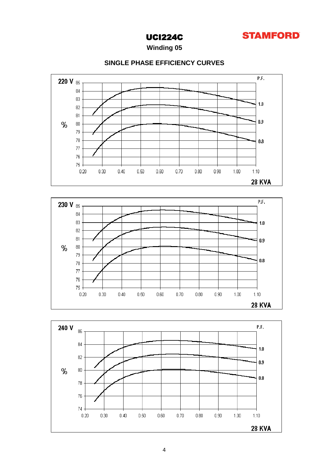

**28 KVA** 

# UCI224C

**Winding 05**

### **SINGLE PHASE EFFICIENCY CURVES**



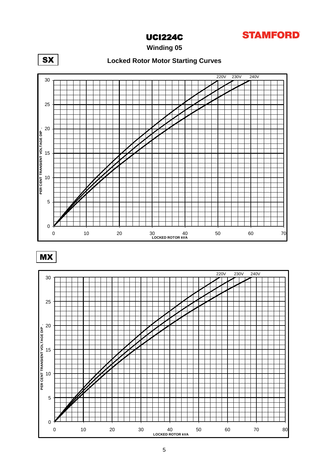

**Winding 05**



MX

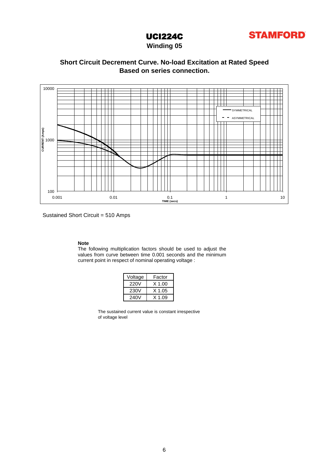

# **Winding 05**

## **Based on series connection. Short Circuit Decrement Curve. No-load Excitation at Rated Speed**



Sustained Short Circuit = 510 Amps

### **Note**

The following multiplication factors should be used to adjust the values from curve between time 0.001 seconds and the minimum current point in respect of nominal operating voltage :

| Voltage | Factor   |
|---------|----------|
| 220V    | $X$ 1.00 |
| 230V    | X 1.05   |
| 240V    | X 1 09   |

The sustained current value is constant irrespective of voltage level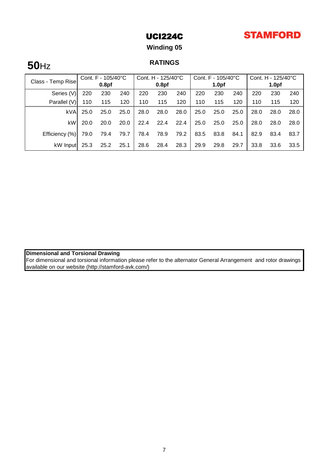# **STAMFORD**

# UCI224C

# **Winding 05**

# **RATINGS 50**Hz

| Class - Temp Rise | Cont. F - 105/40°C |                   | Cont. H - 125/40°C |      | Cont. $F - 105/40^{\circ}C$ |      |      | Cont. H - 125/40°C |      |      |                   |      |
|-------------------|--------------------|-------------------|--------------------|------|-----------------------------|------|------|--------------------|------|------|-------------------|------|
|                   |                    | 0.8 <sub>pf</sub> |                    |      | 0.8 <sub>pf</sub>           |      |      | 1.0 <sub>pf</sub>  |      |      | 1.0 <sub>pf</sub> |      |
| Series (V)        | 220                | 230               | 240                | 220  | 230                         | 240  | 220  | 230                | 240  | 220  | 230               | 240  |
| Parallel (V)      | 110                | 115               | 120                | 110  | 115                         | 120  | 110  | 115                | 120  | 110  | 115               | 120  |
| kVA               | 25.0               | 25.0              | 25.0               | 28.0 | 28.0                        | 28.0 | 25.0 | 25.0               | 25.0 | 28.0 | 28.0              | 28.0 |
| kW                | 20.0               | 20.0              | 20.0               | 22.4 | 22.4                        | 22.4 | 25.0 | 25.0               | 25.0 | 28.0 | 28.0              | 28.0 |
| Efficiency (%)    | 79.0               | 79.4              | 79.7               | 78.4 | 78.9                        | 79.2 | 83.5 | 83.8               | 84.1 | 82.9 | 83.4              | 83.7 |
| kW Input          | 25.3               | 25.2              | 25.1               | 28.6 | 28.4                        | 28.3 | 29.9 | 29.8               | 29.7 | 33.8 | 33.6              | 33.5 |

### **Dimensional and Torsional Drawing**

For dimensional and torsional information please refer to the alternator General Arrangement and rotor drawings available on our website (http://stamford-avk.com/)